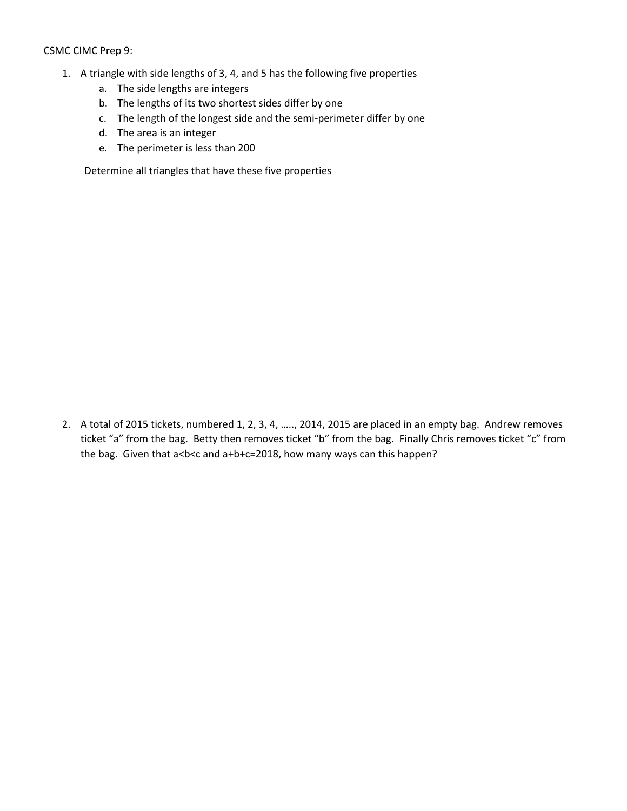## CSMC CIMC Prep 9:

- 1. A triangle with side lengths of 3, 4, and 5 has the following five properties
	- a. The side lengths are integers
	- b. The lengths of its two shortest sides differ by one
	- c. The length of the longest side and the semi-perimeter differ by one
	- d. The area is an integer
	- e. The perimeter is less than 200

Determine all triangles that have these five properties

2. A total of 2015 tickets, numbered 1, 2, 3, 4, ….., 2014, 2015 are placed in an empty bag. Andrew removes ticket "a" from the bag. Betty then removes ticket "b" from the bag. Finally Chris removes ticket "c" from the bag. Given that a<b<< and a+b+c=2018, how many ways can this happen?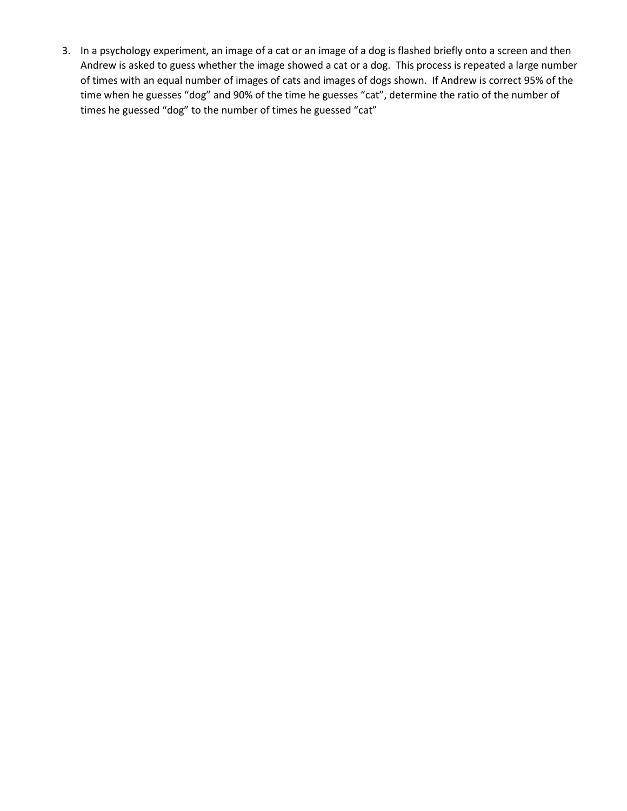3. In a psychology experiment, an image of a cat or an image of a dog is flashed briefly onto a screen and then Andrew is asked to guess whether the image showed a cat or a dog. This process is repeated a large number of times with an equal number of images of cats and images of dogs shown. If Andrew is correct 95% of the time when he guesses "dog" and 90% of the time he guesses "cat", determine the ratio of the number of times he guessed "dog" to the number of times he guessed "cat"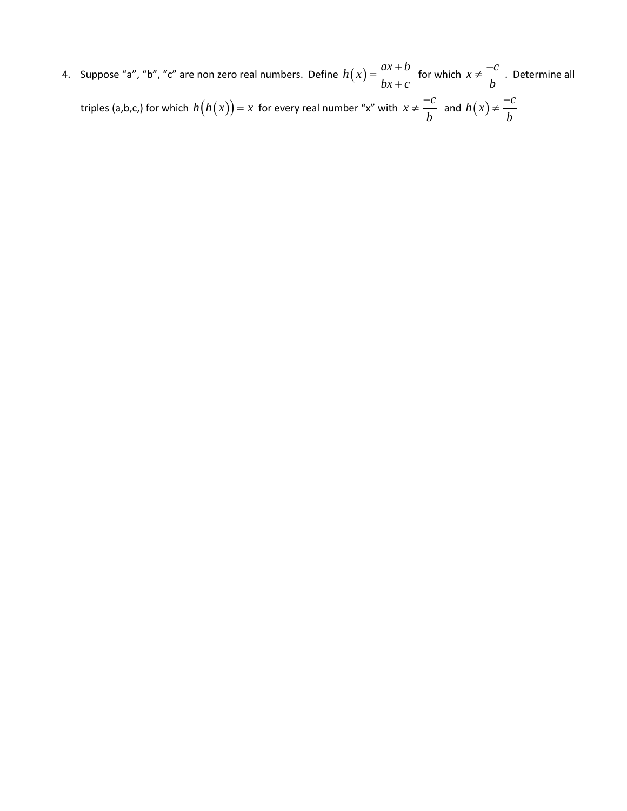4. Suppose "a", "b", "c" are non zero real numbers. Define  $h(x) = \frac{ax + b}{b}$  $bx + c$  $=\frac{ax+}{}$  $\frac{1}{1+c}$  for which  $x \neq \frac{-c}{\cdot}$ *b*  $\neq \frac{-c}{l}$ . Determine all triples (a,b,c,) for which  $h\big(h(x)\big)$  =  $x\,$  for every real number "x" with  $x \neq \frac{-c}{\cdot}$ *b*  $\neq \frac{-c}{l}$  and  $h(x)$  $h(x) \neq \frac{-c}{x}$ *b*  $\neq -$